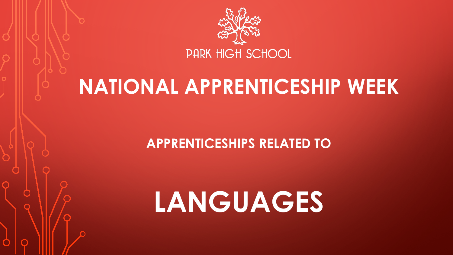

## **NATIONAL APPRENTICESHIP WEEK**

**APPRENTICESHIPS RELATED TO** 

# **LANGUAGES**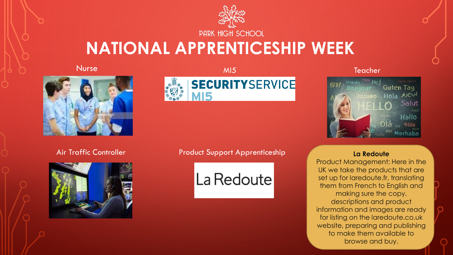

### **NATIONAL APPRENTICESHIP WEEK**

Nurse



MI5



Teacher



Air Traffic Controller



Product Support Apprenticeship **La Redoute** 



Product Management: Here in the UK we take the products that are set up for laredoute.fr, translating them from French to English and making sure the copy, descriptions and product information and images are ready for listing on the laredoute.co.uk website, preparing and publishing to make them available to browse and buy.